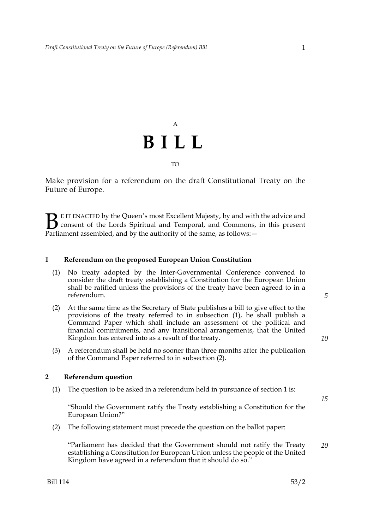

Make provision for a referendum on the draft Constitutional Treaty on the Future of Europe.

E IT ENACTED by the Queen's most Excellent Majesty, by and with the advice and consent of the Lords Spiritual and Temporal, and Commons, in this present Parliament assembled, and by the authority of the same, as follows:  $\mathbf{B}_{\text{rel}}$ 

#### **1 Referendum on the proposed European Union Constitution**

- (1) No treaty adopted by the Inter-Governmental Conference convened to consider the draft treaty establishing a Constitution for the European Union shall be ratified unless the provisions of the treaty have been agreed to in a referendum.
- (2) At the same time as the Secretary of State publishes a bill to give effect to the provisions of the treaty referred to in subsection (1), he shall publish a Command Paper which shall include an assessment of the political and financial commitments, and any transitional arrangements, that the United Kingdom has entered into as a result of the treaty.
- (3) A referendum shall be held no sooner than three months after the publication of the Command Paper referred to in subsection (2).

#### **2 Referendum question**

(1) The question to be asked in a referendum held in pursuance of section 1 is:

"Should the Government ratify the Treaty establishing a Constitution for the European Union?"

(2) The following statement must precede the question on the ballot paper:

"Parliament has decided that the Government should not ratify the Treaty establishing a Constitution for European Union unless the people of the United Kingdom have agreed in a referendum that it should do so." *20*

*10*

*15*

*5*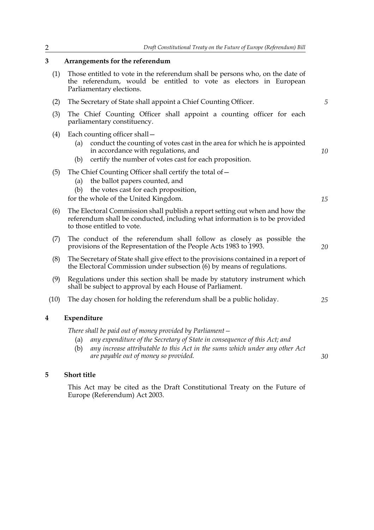*5*

*10*

*15*

*20*

*25*

*30*

### **3 Arrangements for the referendum**

- (1) Those entitled to vote in the referendum shall be persons who, on the date of the referendum, would be entitled to vote as electors in European Parliamentary elections.
- (2) The Secretary of State shall appoint a Chief Counting Officer.
- (3) The Chief Counting Officer shall appoint a counting officer for each parliamentary constituency.
- (4) Each counting officer shall—
	- (a) conduct the counting of votes cast in the area for which he is appointed in accordance with regulations, and
	- (b) certify the number of votes cast for each proposition.

#### (5) The Chief Counting Officer shall certify the total of  $-$

- (a) the ballot papers counted, and
- (b) the votes cast for each proposition,

for the whole of the United Kingdom.

- (6) The Electoral Commission shall publish a report setting out when and how the referendum shall be conducted, including what information is to be provided to those entitled to vote.
- (7) The conduct of the referendum shall follow as closely as possible the provisions of the Representation of the People Acts 1983 to 1993.
- (8) The Secretary of State shall give effect to the provisions contained in a report of the Electoral Commission under subsection (6) by means of regulations.
- (9) Regulations under this section shall be made by statutory instrument which shall be subject to approval by each House of Parliament.
- (10) The day chosen for holding the referendum shall be a public holiday.

#### **4 Expenditure**

*There shall be paid out of money provided by Parliament—*

- (a) *any expenditure of the Secretary of State in consequence of this Act; and*
- (b) *any increase attributable to this Act in the sums which under any other Act are payable out of money so provided.*

#### **5 Short title**

This Act may be cited as the Draft Constitutional Treaty on the Future of Europe (Referendum) Act 2003.

| I<br>I       |  |
|--------------|--|
| I<br>I<br>., |  |
|              |  |